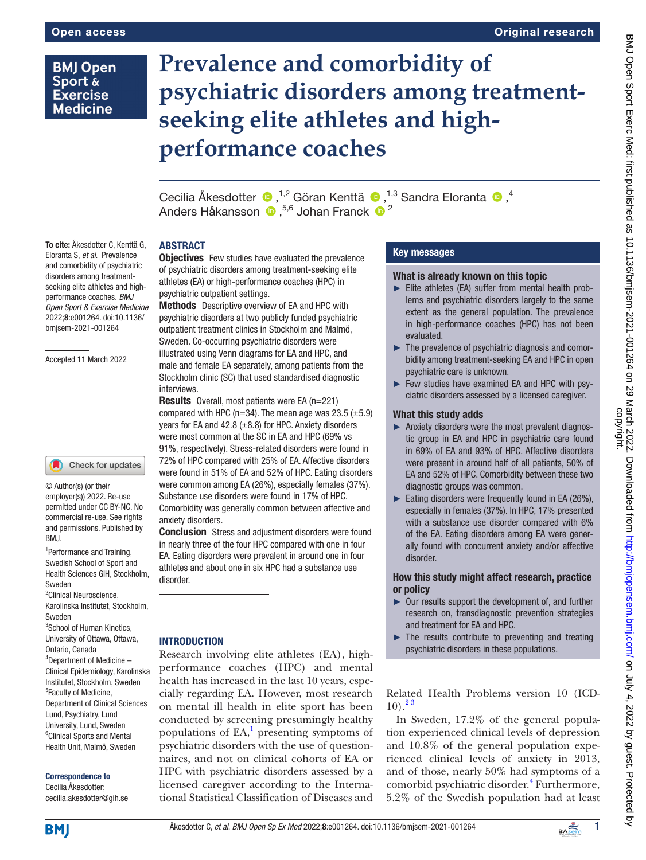# **BMJ Open** Sport & **Exercise Medicine**

# **Prevalence and comorbidity of psychiatric disorders among treatmentseeking elite athletes and highperformance coaches**

Cecilia Åkesdotter  $\bullet$ ,<sup>1,2</sup> Göran Kenttä  $\bullet$ ,<sup>1,3</sup> Sandra Eloranta  $\bullet$ ,<sup>4</sup> Anders Håkansson  $\bullet$ , <sup>5,6</sup> Johan Franck  $\bullet$  <sup>2</sup>

# ABSTRACT

To cite: Åkesdotter C, Kenttä G, Eloranta S, *et al*. Prevalence and comorbidity of psychiatric disorders among treatmentseeking elite athletes and highperformance coaches. *BMJ Open Sport & Exercise Medicine* 2022;8:e001264. doi:10.1136/ bmjsem-2021-001264

Accepted 11 March 2022

# Check for updates

© Author(s) (or their employer(s)) 2022. Re-use permitted under CC BY-NC. No commercial re-use. See rights and permissions. Published by BMJ.

<sup>1</sup>Performance and Training, Swedish School of Sport and Health Sciences GIH, Stockholm, Sweden

<sup>2</sup> Clinical Neuroscience, Karolinska Institutet, Stockholm, Sweden

<sup>3</sup>School of Human Kinetics, University of Ottawa, Ottawa, Ontario, Canada 4 Department of Medicine – Clinical Epidemiology, Karolinska Institutet, Stockholm, Sweden 5 Faculty of Medicine,

Department of Clinical Sciences Lund, Psychiatry, Lund University, Lund, Sweden <sup>6</sup>Clinical Sports and Mental Health Unit, Malmö, Sweden

Correspondence to

Cecilia Åkesdotter; cecilia.akesdotter@gih.se **Objectives** Few studies have evaluated the prevalence of psychiatric disorders among treatment-seeking elite athletes (EA) or high-performance coaches (HPC) in psychiatric outpatient settings.

Methods Descriptive overview of EA and HPC with psychiatric disorders at two publicly funded psychiatric outpatient treatment clinics in Stockholm and Malmö, Sweden. Co-occurring psychiatric disorders were illustrated using Venn diagrams for EA and HPC, and male and female EA separately, among patients from the Stockholm clinic (SC) that used standardised diagnostic interviews.

Results Overall, most patients were EA (n=221) compared with HPC (n=34). The mean age was  $23.5 \ (\pm 5.9)$ years for EA and 42.8  $(\pm 8.8)$  for HPC. Anxiety disorders were most common at the SC in EA and HPC (69% vs 91%, respectively). Stress-related disorders were found in 72% of HPC compared with 25% of EA. Affective disorders were found in 51% of EA and 52% of HPC. Eating disorders were common among EA (26%), especially females (37%). Substance use disorders were found in 17% of HPC. Comorbidity was generally common between affective and anxiety disorders.

**Conclusion** Stress and adjustment disorders were found in nearly three of the four HPC compared with one in four EA. Eating disorders were prevalent in around one in four athletes and about one in six HPC had a substance use disorder.

## **INTRODUCTION**

Research involving elite athletes (EA), highperformance coaches (HPC) and mental health has increased in the last 10 years, especially regarding EA. However, most research on mental ill health in elite sport has been conducted by screening presumingly healthy populations of  $EA$ , presenting symptoms of psychiatric disorders with the use of questionnaires, and not on clinical cohorts of EA or HPC with psychiatric disorders assessed by a licensed caregiver according to the International Statistical Classification of Diseases and

# Key messages

## What is already known on this topic

- ► Elite athletes (EA) suffer from mental health problems and psychiatric disorders largely to the same extent as the general population. The prevalence in high-performance coaches (HPC) has not been evaluated.
- ► The prevalence of psychiatric diagnosis and comorbidity among treatment-seeking EA and HPC in open psychiatric care is unknown.
- ► Few studies have examined EA and HPC with psyciatric disorders assessed by a licensed caregiver.

# What this study adds

- ► Anxiety disorders were the most prevalent diagnostic group in EA and HPC in psychiatric care found in 69% of EA and 93% of HPC. Affective disorders were present in around half of all patients, 50% of EA and 52% of HPC. Comorbidity between these two diagnostic groups was common.
- $\blacktriangleright$  Eating disorders were frequently found in EA (26%), especially in females (37%). In HPC, 17% presented with a substance use disorder compared with 6% of the EA. Eating disorders among EA were generally found with concurrent anxiety and/or affective disorder.

#### How this study might affect research, practice or policy

- ► Our results support the development of, and further research on, transdiagnostic prevention strategies and treatment for EA and HPC.
- $\blacktriangleright$  The results contribute to preventing and treating psychiatric disorders in these populations.

Related Health Problems version 10 (ICD- $10)$ .<sup>23</sup>

In Sweden, 17.2% of the general population experienced clinical levels of depression and 10.8% of the general population experienced clinical levels of anxiety in 2013, and of those, nearly 50% had symptoms of a comorbid psychiatric disorder.<sup>4</sup> Furthermore, 5.2% of the Swedish population had at least

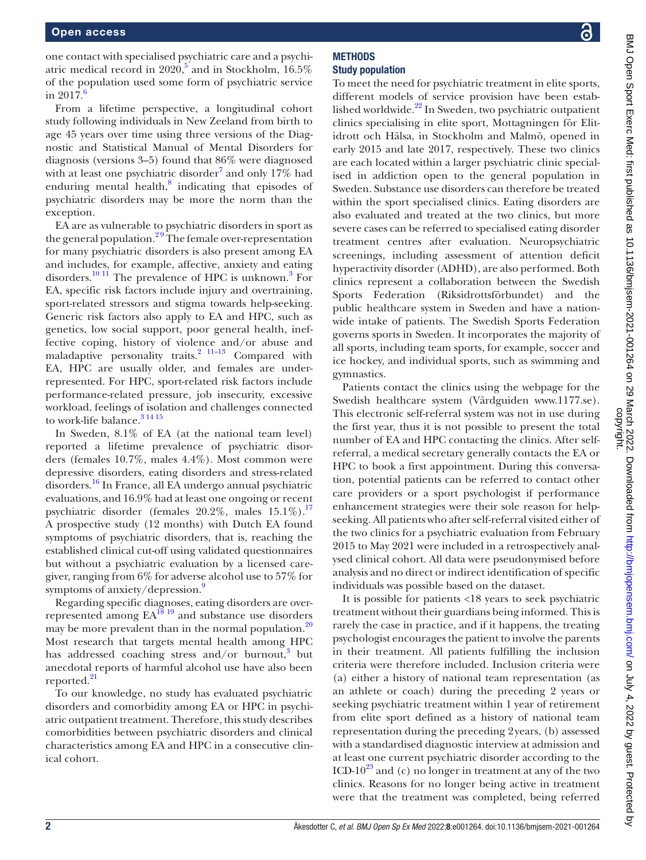one contact with specialised psychiatric care and a psychiatric medical record in  $2020$ ,<sup>[5](#page-6-3)</sup> and in Stockholm,  $16.5\%$ of the population used some form of psychiatric service in  $2017$ .<sup>[6](#page-6-4)</sup>

From a lifetime perspective, a longitudinal cohort study following individuals in New Zeeland from birth to age 45 years over time using three versions of the Diagnostic and Statistical Manual of Mental Disorders for diagnosis (versions 3–5) found that 86% were diagnosed with at least one psychiatric disorder<sup>7</sup> and only 17% had enduring mental health, $8$  indicating that episodes of psychiatric disorders may be more the norm than the exception.

EA are as vulnerable to psychiatric disorders in sport as the general population.<sup>29</sup> The female over-representation for many psychiatric disorders is also present among EA and includes, for example, affective, anxiety and eating disorders.<sup>10 11</sup> The prevalence of HPC is unknown.<sup>3</sup> For EA, specific risk factors include injury and overtraining, sport-related stressors and stigma towards help-seeking. Generic risk factors also apply to EA and HPC, such as genetics, low social support, poor general health, ineffective coping, history of violence and/or abuse and maladaptive personality traits.<sup>2 11-13</sup> Compared with EA, HPC are usually older, and females are underrepresented. For HPC, sport-related risk factors include performance-related pressure, job insecurity, excessive workload, feelings of isolation and challenges connected to work-life balance.<sup>3</sup> <sup>14 15</sup>

In Sweden, 8.1% of EA (at the national team level) reported a lifetime prevalence of psychiatric disorders (females 10.7%, males 4.4%). Most common were depressive disorders, eating disorders and stress-related disorders.[16](#page-7-0) In France, all EA undergo annual psychiatric evaluations, and 16.9% had at least one ongoing or recent psychiatric disorder (females  $20.2\%$ , males  $15.1\%$ ).<sup>17</sup> A prospective study (12 months) with Dutch EA found symptoms of psychiatric disorders, that is, reaching the established clinical cut-off using validated questionnaires but without a psychiatric evaluation by a licensed caregiver, ranging from 6% for adverse alcohol use to 57% for symptoms of anxiety/depression.<sup>[9](#page-6-9)</sup>

Regarding specific diagnoses, eating disorders are overrepresented among  $EA^{18}$ <sup>19</sup> and substance use disorders may be more prevalent than in the normal population.<sup>[20](#page-7-3)</sup> Most research that targets mental health among HPC has addressed coaching stress and/or burnout,<sup>[3](#page-6-8)</sup> but anecdotal reports of harmful alcohol use have also been reported.<sup>21</sup>

To our knowledge, no study has evaluated psychiatric disorders and comorbidity among EA or HPC in psychiatric outpatient treatment. Therefore, this study describes comorbidities between psychiatric disorders and clinical characteristics among EA and HPC in a consecutive clinical cohort.

#### **METHODS** Study population

To meet the need for psychiatric treatment in elite sports, different models of service provision have been established worldwide. $^{22}$  In Sweden, two psychiatric outpatient clinics specialising in elite sport, Mottagningen för Elitidrott och Hälsa, in Stockholm and Malmö, opened in early 2015 and late 2017, respectively. These two clinics are each located within a larger psychiatric clinic specialised in addiction open to the general population in Sweden. Substance use disorders can therefore be treated within the sport specialised clinics. Eating disorders are also evaluated and treated at the two clinics, but more severe cases can be referred to specialised eating disorder treatment centres after evaluation. Neuropsychiatric screenings, including assessment of attention deficit hyperactivity disorder (ADHD), are also performed. Both clinics represent a collaboration between the Swedish Sports Federation (Riksidrottsförbundet) and the public healthcare system in Sweden and have a nationwide intake of patients. The Swedish Sports Federation governs sports in Sweden. It incorporates the majority of all sports, including team sports, for example, soccer and ice hockey, and individual sports, such as swimming and gymnastics.

Patients contact the clinics using the webpage for the Swedish healthcare system (Vårdguiden www.1177.se). This electronic self-referral system was not in use during the first year, thus it is not possible to present the total number of EA and HPC contacting the clinics. After selfreferral, a medical secretary generally contacts the EA or HPC to book a first appointment. During this conversation, potential patients can be referred to contact other care providers or a sport psychologist if performance enhancement strategies were their sole reason for helpseeking. All patients who after self-referral visited either of the two clinics for a psychiatric evaluation from February 2015 to May 2021 were included in a retrospectively analysed clinical cohort. All data were pseudonymised before analysis and no direct or indirect identification of specific individuals was possible based on the dataset.

It is possible for patients <18 years to seek psychiatric treatment without their guardians being informed. This is rarely the case in practice, and if it happens, the treating psychologist encourages the patient to involve the parents in their treatment. All patients fulfilling the inclusion criteria were therefore included. Inclusion criteria were (a) either a history of national team representation (as an athlete or coach) during the preceding 2 years or seeking psychiatric treatment within 1 year of retirement from elite sport defined as a history of national team representation during the preceding 2years, (b) assessed with a standardised diagnostic interview at admission and at least one current psychiatric disorder according to the ICD-10<sup>[23](#page-7-6)</sup> and (c) no longer in treatment at any of the two clinics. Reasons for no longer being active in treatment were that the treatment was completed, being referred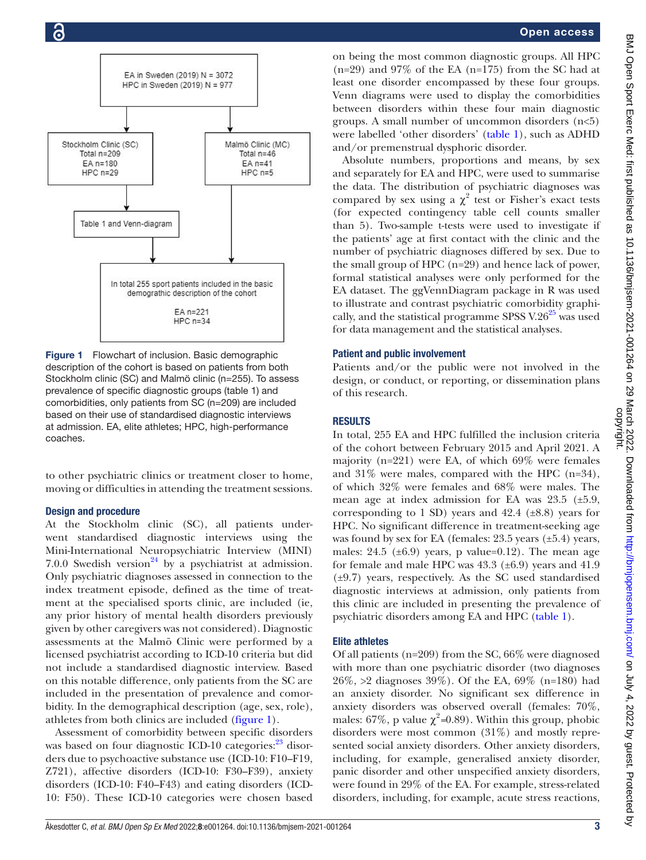

<span id="page-2-0"></span>Figure 1 Flowchart of inclusion. Basic demographic description of the cohort is based on patients from both Stockholm clinic (SC) and Malmö clinic (n=255). To assess prevalence of specific diagnostic groups [\(table 1\)](#page-3-0) and comorbidities, only patients from SC (n=209) are included based on their use of standardised diagnostic interviews at admission. EA, elite athletes; HPC, high-performance coaches.

to other psychiatric clinics or treatment closer to home, moving or difficulties in attending the treatment sessions.

#### Design and procedure

At the Stockholm clinic (SC), all patients underwent standardised diagnostic interviews using the Mini-International Neuropsychiatric Interview (MINI) 7.0.0 Swedish version<sup>24</sup> by a psychiatrist at admission. Only psychiatric diagnoses assessed in connection to the index treatment episode, defined as the time of treatment at the specialised sports clinic, are included (ie, any prior history of mental health disorders previously given by other caregivers was not considered). Diagnostic assessments at the Malmö Clinic were performed by a licensed psychiatrist according to ICD-10 criteria but did not include a standardised diagnostic interview. Based on this notable difference, only patients from the SC are included in the presentation of prevalence and comorbidity. In the demographical description (age, sex, role), athletes from both clinics are included ([figure](#page-2-0) 1).

Assessment of comorbidity between specific disorders was based on four diagnostic ICD-10 categories: $^{23}$  $^{23}$  $^{23}$  disorders due to psychoactive substance use (ICD-10: F10–F19, Z721), affective disorders (ICD-10: F30–F39), anxiety disorders (ICD-10: F40–F43) and eating disorders (ICD-10: F50). These ICD-10 categories were chosen based

on being the most common diagnostic groups. All HPC  $(n=29)$  and 97% of the EA  $(n=175)$  from the SC had at least one disorder encompassed by these four groups. Venn diagrams were used to display the comorbidities between disorders within these four main diagnostic groups. A small number of uncommon disorders (n<5) were labelled 'other disorders' ([table](#page-3-0) 1), such as ADHD and/or premenstrual dysphoric disorder.

Absolute numbers, proportions and means, by sex and separately for EA and HPC, were used to summarise the data. The distribution of psychiatric diagnoses was compared by sex using a  $\chi^2$  test or Fisher's exact tests (for expected contingency table cell counts smaller than 5). Two-sample t-tests were used to investigate if the patients' age at first contact with the clinic and the number of psychiatric diagnoses differed by sex. Due to the small group of HPC (n=29) and hence lack of power, formal statistical analyses were only performed for the EA dataset. The ggVennDiagram package in R was used to illustrate and contrast psychiatric comorbidity graphically, and the statistical programme SPSS  $V.26^{25}$  was used for data management and the statistical analyses.

#### Patient and public involvement

Patients and/or the public were not involved in the design, or conduct, or reporting, or dissemination plans of this research.

#### RESULTS

In total, 255 EA and HPC fulfilled the inclusion criteria of the cohort between February 2015 and April 2021. A majority (n=221) were EA, of which 69% were females and 31% were males, compared with the HPC (n=34), of which 32% were females and 68% were males. The mean age at index admission for EA was 23.5 (±5.9, corresponding to 1 SD) years and  $42.4$  ( $\pm 8.8$ ) years for HPC. No significant difference in treatment-seeking age was found by sex for EA (females:  $23.5$  years ( $\pm 5.4$ ) years, males:  $24.5$  ( $\pm 6.9$ ) years, p value=0.12). The mean age for female and male HPC was  $43.3$  ( $\pm 6.9$ ) years and  $41.9$ (±9.7) years, respectively. As the SC used standardised diagnostic interviews at admission, only patients from this clinic are included in presenting the prevalence of psychiatric disorders among EA and HPC ([table](#page-3-0) 1).

#### Elite athletes

Of all patients (n=209) from the SC, 66% were diagnosed with more than one psychiatric disorder (two diagnoses 26%, >2 diagnoses 39%). Of the EA, 69% (n=180) had an anxiety disorder. No significant sex difference in anxiety disorders was observed overall (females: 70%, males:  $67\%$ , p value  $\chi^2$ =0.89). Within this group, phobic disorders were most common (31%) and mostly represented social anxiety disorders. Other anxiety disorders, including, for example, generalised anxiety disorder, panic disorder and other unspecified anxiety disorders, were found in 29% of the EA. For example, stress-related disorders, including, for example, acute stress reactions,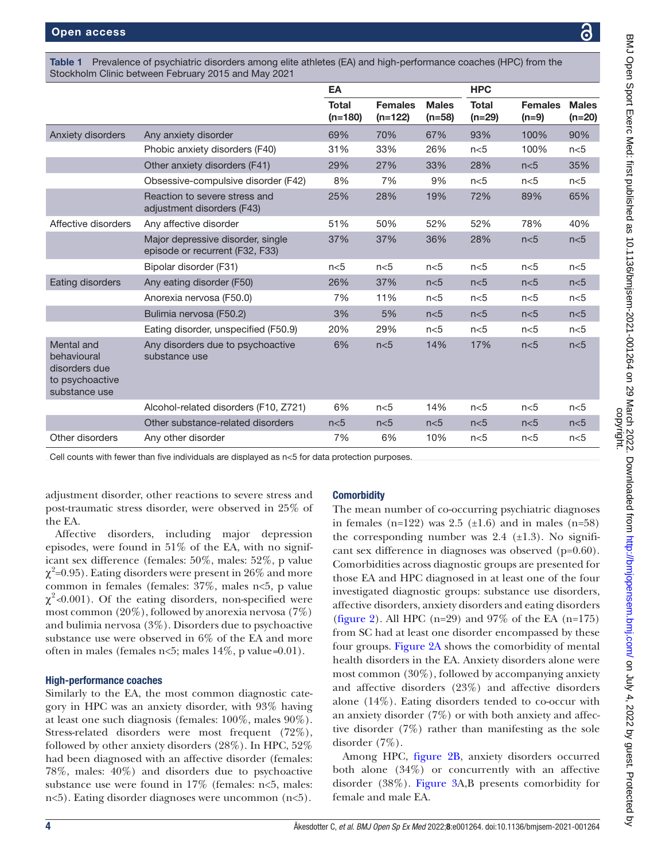Table 1 Prevalence of psychiatric disorders among elite athletes (EA) and high-performance coaches (HPC) from the Stockholm Clinic between February 2015 and May 2021

<span id="page-3-0"></span>

|                                                                                |                                                                      | EA                        |                             |                          | <b>HPC</b>               |                           |                          |
|--------------------------------------------------------------------------------|----------------------------------------------------------------------|---------------------------|-----------------------------|--------------------------|--------------------------|---------------------------|--------------------------|
|                                                                                |                                                                      | <b>Total</b><br>$(n=180)$ | <b>Females</b><br>$(n=122)$ | <b>Males</b><br>$(n=58)$ | <b>Total</b><br>$(n=29)$ | <b>Females</b><br>$(n=9)$ | <b>Males</b><br>$(n=20)$ |
| Anxiety disorders                                                              | Any anxiety disorder                                                 | 69%                       | 70%                         | 67%                      | 93%                      | 100%                      | 90%                      |
|                                                                                | Phobic anxiety disorders (F40)                                       | 31%                       | 33%                         | 26%                      | n<5                      | 100%                      | n<5                      |
|                                                                                | Other anxiety disorders (F41)                                        | 29%                       | 27%                         | 33%                      | 28%                      | n<5                       | 35%                      |
|                                                                                | Obsessive-compulsive disorder (F42)                                  | 8%                        | 7%                          | 9%                       | n<5                      | n<5                       | n<5                      |
|                                                                                | Reaction to severe stress and<br>adjustment disorders (F43)          | 25%                       | 28%                         | 19%                      | 72%                      | 89%                       | 65%                      |
| Affective disorders                                                            | Any affective disorder                                               | 51%                       | 50%                         | 52%                      | 52%                      | 78%                       | 40%                      |
|                                                                                | Major depressive disorder, single<br>episode or recurrent (F32, F33) | 37%                       | 37%                         | 36%                      | 28%                      | n<5                       | n<5                      |
|                                                                                | Bipolar disorder (F31)                                               | n<5                       | n<5                         | n<5                      | n<5                      | n<5                       | n<5                      |
| Eating disorders                                                               | Any eating disorder (F50)                                            | 26%                       | 37%                         | n<5                      | n<5                      | n<5                       | n<5                      |
|                                                                                | Anorexia nervosa (F50.0)                                             | 7%                        | 11%                         | n<5                      | n<5                      | n<5                       | n<5                      |
|                                                                                | Bulimia nervosa (F50.2)                                              | 3%                        | 5%                          | n<5                      | n<5                      | n<5                       | n<5                      |
|                                                                                | Eating disorder, unspecified (F50.9)                                 | 20%                       | 29%                         | n<5                      | n<5                      | n<5                       | n<5                      |
| Mental and<br>behavioural<br>disorders due<br>to psychoactive<br>substance use | Any disorders due to psychoactive<br>substance use                   | 6%                        | n<5                         | 14%                      | 17%                      | n<5                       | n<5                      |
|                                                                                | Alcohol-related disorders (F10, Z721)                                | 6%                        | n<5                         | 14%                      | n<5                      | n<5                       | n<5                      |
|                                                                                | Other substance-related disorders                                    | n<5                       | n<5                         | n<5                      | n<5                      | n<5                       | n<5                      |
| Other disorders                                                                | Any other disorder                                                   | 7%                        | 6%                          | 10%                      | n<5                      | n<5                       | n<5                      |

Cell counts with fewer than five individuals are displayed as n<5 for data protection purposes.

adjustment disorder, other reactions to severe stress and post-traumatic stress disorder, were observed in 25% of the EA.

Affective disorders, including major depression episodes, were found in  $51\%$  of the EA, with no significant sex difference (females: 50%, males: 52%, p value  $\chi^2$ =0.95). Eating disorders were present in 26% and more common in females (females: 37%, males n<5, p value χ2 *<*0.001). Of the eating disorders, non-specified were most common (20%), followed by anorexia nervosa (7%) and bulimia nervosa (3%). Disorders due to psychoactive substance use were observed in 6% of the EA and more often in males (females n<5; males 14%, p value*=*0.01).

#### High-performance coaches

Similarly to the EA, the most common diagnostic category in HPC was an anxiety disorder, with 93% having at least one such diagnosis (females: 100%, males 90%). Stress-related disorders were most frequent (72%), followed by other anxiety disorders (28%). In HPC, 52% had been diagnosed with an affective disorder (females: 78%, males: 40%) and disorders due to psychoactive substance use were found in 17% (females: n<5, males: n<5). Eating disorder diagnoses were uncommon (n<5).

#### **Comorbidity**

The mean number of co-occurring psychiatric diagnoses in females  $(n=122)$  was 2.5  $(\pm 1.6)$  and in males  $(n=58)$ the corresponding number was  $2.4$  ( $\pm$ 1.3). No significant sex difference in diagnoses was observed (p=0.60). Comorbidities across diagnostic groups are presented for those EA and HPC diagnosed in at least one of the four investigated diagnostic groups: substance use disorders, affective disorders, anxiety disorders and eating disorders [\(figure](#page-4-0) 2). All HPC (n=29) and  $97\%$  of the EA (n=175) from SC had at least one disorder encompassed by these four groups. [Figure](#page-4-0) 2A shows the comorbidity of mental health disorders in the EA. Anxiety disorders alone were most common (30%), followed by accompanying anxiety and affective disorders (23%) and affective disorders alone (14%). Eating disorders tended to co-occur with an anxiety disorder (7%) or with both anxiety and affective disorder (7%) rather than manifesting as the sole disorder (7%).

Among HPC, [figure](#page-4-0) 2B, anxiety disorders occurred both alone (34%) or concurrently with an affective disorder (38%). [Figure](#page-4-1) 3A,B presents comorbidity for female and male EA.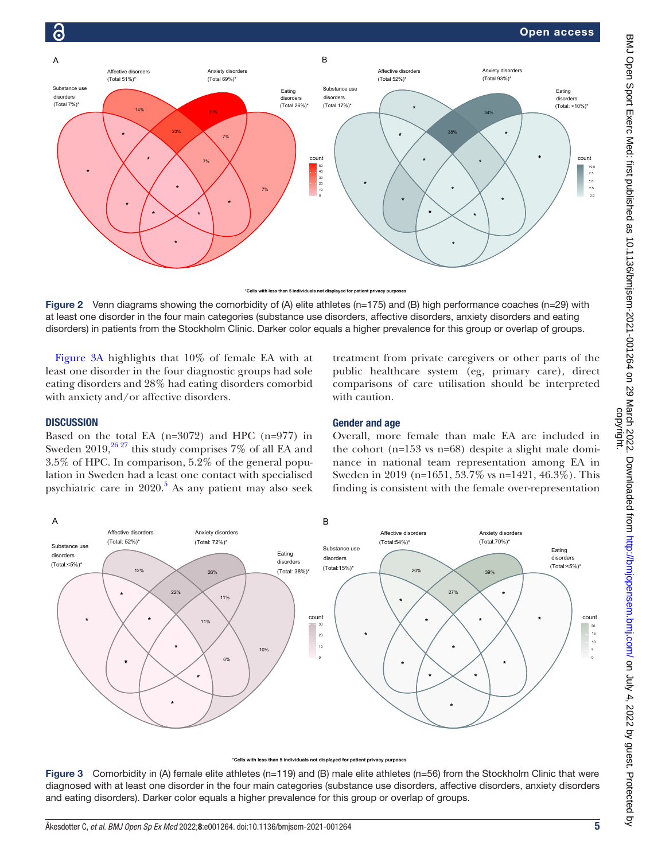

\***Cells with less than 5 individuals not displayed for patient privacy purposes**

<span id="page-4-0"></span>Figure 2 Venn diagrams showing the comorbidity of (A) elite athletes (n=175) and (B) high performance coaches (n=29) with at least one disorder in the four main categories (substance use disorders, affective disorders, anxiety disorders and eating disorders) in patients from the Stockholm Clinic. Darker color equals a higher prevalence for this group or overlap of groups.

[Figure](#page-4-1) 3A highlights that 10% of female EA with at least one disorder in the four diagnostic groups had sole eating disorders and 28% had eating disorders comorbid with anxiety and/or affective disorders.

#### **DISCUSSION**

Based on the total EA (n=3072) and HPC (n=977) in Sweden  $2019,^{26}$   $^{27}$  this study comprises 7% of all EA and 3.5% of HPC. In comparison, 5.2% of the general population in Sweden had a least one contact with specialised psychiatric care in 2020.<sup>[5](#page-6-3)</sup> As any patient may also seek

treatment from private caregivers or other parts of the public healthcare system (eg, primary care), direct comparisons of care utilisation should be interpreted with caution.

#### Gender and age

Overall, more female than male EA are included in the cohort (n=153 vs n=68) despite a slight male dominance in national team representation among EA in Sweden in 2019 (n=1651, 53.7% vs n=1421, 46.3%). This finding is consistent with the female over-representation



with less than 5 individuals not displayed for patient privacy purpo

<span id="page-4-1"></span>Figure 3 Comorbidity in (A) female elite athletes (n=119) and (B) male elite athletes (n=56) from the Stockholm Clinic that were diagnosed with at least one disorder in the four main categories (substance use disorders, affective disorders, anxiety disorders and eating disorders). Darker color equals a higher prevalence for this group or overlap of groups.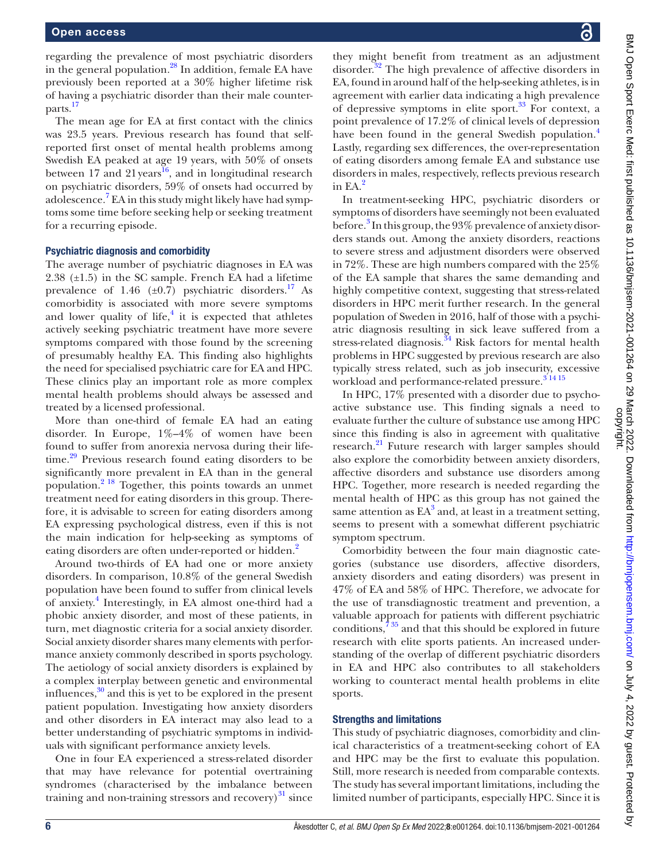regarding the prevalence of most psychiatric disorders in the general population.<sup>28</sup> In addition, female EA have previously been reported at a 30% higher lifetime risk of having a psychiatric disorder than their male counterparts.[17](#page-7-1)

The mean age for EA at first contact with the clinics was 23.5 years. Previous research has found that selfreported first onset of mental health problems among Swedish EA peaked at age 19 years, with 50% of onsets between 17 and 21 years<sup>16</sup>, and in longitudinal research on psychiatric disorders, 59% of onsets had occurred by adolescence.<sup>7</sup> EA in this study might likely have had symptoms some time before seeking help or seeking treatment for a recurring episode.

#### Psychiatric diagnosis and comorbidity

The average number of psychiatric diagnoses in EA was 2.38 (±1.5) in the SC sample. French EA had a lifetime prevalence of 1.46 ( $\pm$ 0.7) psychiatric disorders.<sup>17</sup> As comorbidity is associated with more severe symptoms and lower quality of life, $<sup>4</sup>$  $<sup>4</sup>$  $<sup>4</sup>$  it is expected that athletes</sup> actively seeking psychiatric treatment have more severe symptoms compared with those found by the screening of presumably healthy EA. This finding also highlights the need for specialised psychiatric care for EA and HPC. These clinics play an important role as more complex mental health problems should always be assessed and treated by a licensed professional.

More than one-third of female EA had an eating disorder. In Europe, 1%–4% of women have been found to suffer from anorexia nervosa during their life-time.<sup>[29](#page-7-11)</sup> Previous research found eating disorders to be significantly more prevalent in EA than in the general population.[2 18](#page-6-1) Together, this points towards an unmet treatment need for eating disorders in this group. Therefore, it is advisable to screen for eating disorders among EA expressing psychological distress, even if this is not the main indication for help-seeking as symptoms of eating disorders are often under-reported or hidden.<sup>[2](#page-6-1)</sup>

Around two-thirds of EA had one or more anxiety disorders. In comparison, 10.8% of the general Swedish population have been found to suffer from clinical levels of anxiety. [4](#page-6-2) Interestingly, in EA almost one-third had a phobic anxiety disorder, and most of these patients, in turn, met diagnostic criteria for a social anxiety disorder. Social anxiety disorder shares many elements with performance anxiety commonly described in sports psychology. The aetiology of social anxiety disorders is explained by a complex interplay between genetic and environmental influences, $30$  and this is yet to be explored in the present patient population. Investigating how anxiety disorders and other disorders in EA interact may also lead to a better understanding of psychiatric symptoms in individuals with significant performance anxiety levels.

One in four EA experienced a stress-related disorder that may have relevance for potential overtraining syndromes (characterised by the imbalance between training and non-training stressors and recovery) $31$  since

they might benefit from treatment as an adjustment disorder.<sup>[32](#page-7-14)</sup> The high prevalence of affective disorders in EA, found in around half of the help-seeking athletes, is in agreement with earlier data indicating a high prevalence of depressive symptoms in elite sport. $33$  For context, a point prevalence of 17.2% of clinical levels of depression have been found in the general Swedish population.<sup>[4](#page-6-2)</sup> Lastly, regarding sex differences, the over-representation of eating disorders among female EA and substance use disorders in males, respectively, reflects previous research in  $EA<sup>2</sup>$  $EA<sup>2</sup>$  $EA<sup>2</sup>$ 

In treatment-seeking HPC, psychiatric disorders or symptoms of disorders have seemingly not been evaluated before.<sup>[3](#page-6-8)</sup> In this group, the 93% prevalence of anxiety disorders stands out. Among the anxiety disorders, reactions to severe stress and adjustment disorders were observed in 72%. These are high numbers compared with the 25% of the EA sample that shares the same demanding and highly competitive context, suggesting that stress-related disorders in HPC merit further research. In the general population of Sweden in 2016, half of those with a psychiatric diagnosis resulting in sick leave suffered from a stress-related diagnosis.<sup>[34](#page-7-16)</sup> Risk factors for mental health problems in HPC suggested by previous research are also typically stress related, such as job insecurity, excessive workload and performance-related pressure.<sup>31415</sup>

In HPC, 17% presented with a disorder due to psychoactive substance use. This finding signals a need to evaluate further the culture of substance use among HPC since this finding is also in agreement with qualitative research.<sup>21</sup> Future research with larger samples should also explore the comorbidity between anxiety disorders, affective disorders and substance use disorders among HPC. Together, more research is needed regarding the mental health of HPC as this group has not gained the same attention as  $EA^3$  $EA^3$  and, at least in a treatment setting, seems to present with a somewhat different psychiatric symptom spectrum.

Comorbidity between the four main diagnostic categories (substance use disorders, affective disorders, anxiety disorders and eating disorders) was present in 47% of EA and 58% of HPC. Therefore, we advocate for the use of transdiagnostic treatment and prevention, a valuable approach for patients with different psychiatric conditions, $735$  and that this should be explored in future research with elite sports patients. An increased understanding of the overlap of different psychiatric disorders in EA and HPC also contributes to all stakeholders working to counteract mental health problems in elite sports.

#### Strengths and limitations

This study of psychiatric diagnoses, comorbidity and clinical characteristics of a treatment-seeking cohort of EA and HPC may be the first to evaluate this population. Still, more research is needed from comparable contexts. The study has several important limitations, including the limited number of participants, especially HPC. Since it is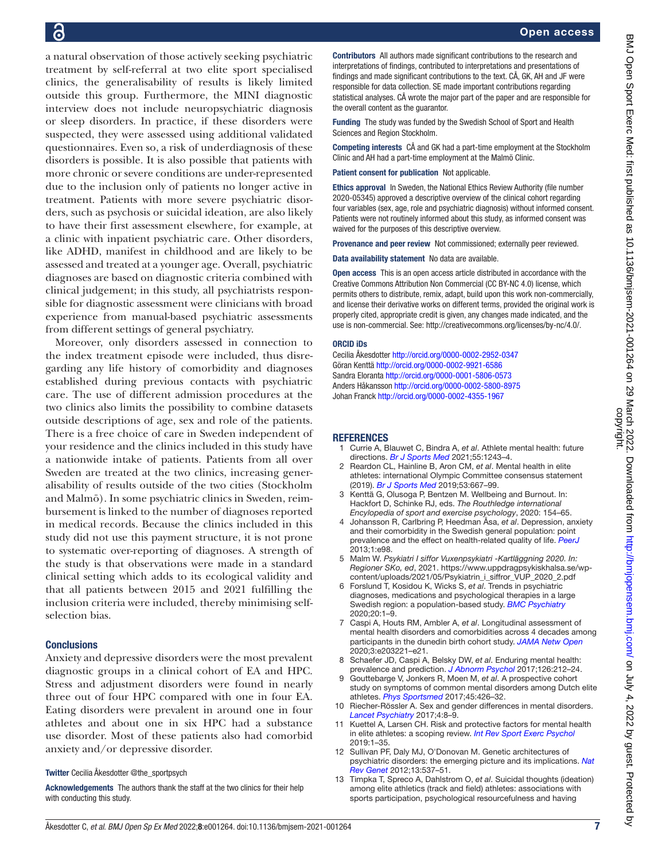a natural observation of those actively seeking psychiatric treatment by self-referral at two elite sport specialised clinics, the generalisability of results is likely limited outside this group. Furthermore, the MINI diagnostic interview does not include neuropsychiatric diagnosis or sleep disorders. In practice, if these disorders were suspected, they were assessed using additional validated questionnaires. Even so, a risk of underdiagnosis of these disorders is possible. It is also possible that patients with more chronic or severe conditions are under-represented due to the inclusion only of patients no longer active in treatment. Patients with more severe psychiatric disorders, such as psychosis or suicidal ideation, are also likely to have their first assessment elsewhere, for example, at a clinic with inpatient psychiatric care. Other disorders, like ADHD, manifest in childhood and are likely to be assessed and treated at a younger age. Overall, psychiatric diagnoses are based on diagnostic criteria combined with clinical judgement; in this study, all psychiatrists responsible for diagnostic assessment were clinicians with broad experience from manual-based psychiatric assessments from different settings of general psychiatry.

Moreover, only disorders assessed in connection to the index treatment episode were included, thus disregarding any life history of comorbidity and diagnoses established during previous contacts with psychiatric care. The use of different admission procedures at the two clinics also limits the possibility to combine datasets outside descriptions of age, sex and role of the patients. There is a free choice of care in Sweden independent of your residence and the clinics included in this study have a nationwide intake of patients. Patients from all over Sweden are treated at the two clinics, increasing generalisability of results outside of the two cities (Stockholm and Malmö). In some psychiatric clinics in Sweden, reimbursement is linked to the number of diagnoses reported in medical records. Because the clinics included in this study did not use this payment structure, it is not prone to systematic over-reporting of diagnoses. A strength of the study is that observations were made in a standard clinical setting which adds to its ecological validity and that all patients between 2015 and 2021 fulfilling the inclusion criteria were included, thereby minimising selfselection bias.

#### **Conclusions**

Anxiety and depressive disorders were the most prevalent diagnostic groups in a clinical cohort of EA and HPC. Stress and adjustment disorders were found in nearly three out of four HPC compared with one in four EA. Eating disorders were prevalent in around one in four athletes and about one in six HPC had a substance use disorder. Most of these patients also had comorbid anxiety and/or depressive disorder.

Twitter Cecilia Åkesdotter [@the\\_sportpsych](https://twitter.com/the_sportpsych)

Acknowledgements The authors thank the staff at the two clinics for their help with conducting this study.

Contributors All authors made significant contributions to the research and interpretations of findings, contributed to interpretations and presentations of findings and made significant contributions to the text. CÅ, GK, AH and JF were responsible for data collection. SE made important contributions regarding statistical analyses. CÅ wrote the major part of the paper and are responsible for the overall content as the guarantor.

Funding The study was funded by the Swedish School of Sport and Health Sciences and Region Stockholm.

Competing interests CÅ and GK had a part-time employment at the Stockholm Clinic and AH had a part-time employment at the Malmö Clinic.

Patient consent for publication Not applicable.

Ethics approval In Sweden, the National Ethics Review Authority (file number 2020-05345) approved a descriptive overview of the clinical cohort regarding four variables (sex, age, role and psychiatric diagnosis) without informed consent. Patients were not routinely informed about this study, as informed consent was waived for the purposes of this descriptive overview.

Provenance and peer review Not commissioned; externally peer reviewed.

Data availability statement No data are available.

Open access This is an open access article distributed in accordance with the Creative Commons Attribution Non Commercial (CC BY-NC 4.0) license, which permits others to distribute, remix, adapt, build upon this work non-commercially, and license their derivative works on different terms, provided the original work is properly cited, appropriate credit is given, any changes made indicated, and the use is non-commercial. See:<http://creativecommons.org/licenses/by-nc/4.0/>.

#### ORCID iDs

Cecilia Åkesdotter <http://orcid.org/0000-0002-2952-0347> Göran Kenttä<http://orcid.org/0000-0002-9921-6586> Sandra Eloranta <http://orcid.org/0000-0001-5806-0573> Anders Håkansson <http://orcid.org/0000-0002-5800-8975> Johan Franck <http://orcid.org/0000-0002-4355-1967>

#### <span id="page-6-0"></span>**REFERENCES**

- 1 Currie A, Blauwet C, Bindra A, *et al*. Athlete mental health: future directions. *[Br J Sports Med](http://dx.doi.org/10.1136/bjsports-2021-104443)* 2021;55:1243–4.
- <span id="page-6-1"></span>2 Reardon CL, Hainline B, Aron CM, *et al*. Mental health in elite athletes: international Olympic Committee consensus statement (2019). *[Br J Sports Med](http://dx.doi.org/10.1136/bjsports-2019-100715)* 2019;53:667–99.
- <span id="page-6-8"></span>3 Kenttä G, Olusoga P, Bentzen M. Wellbeing and Burnout. In: Hackfort D, Schinke RJ, eds. *The Routhledge international Encylopedia of sport and exercise psychology*, 2020: 154–65.
- <span id="page-6-2"></span>4 Johansson R, Carlbring P, Heedman Åsa, *et al*. Depression, anxiety and their comorbidity in the Swedish general population: point prevalence and the effect on health-related quality of life. *[PeerJ](http://dx.doi.org/10.7717/peerj.98)* 2013;1:e98.
- <span id="page-6-3"></span>5 Malm W. *Psykiatri I siffor Vuxenpsykiatri -Kartläggning 2020. In: Regioner SKo, ed*, 2021. [https://www.uppdragpsykiskhalsa.se/wp](https://www.uppdragpsykiskhalsa.se/wp-%20content/uploads/2021/05/Psykiatrin_i_siffror_VUP_2020_2.pdf)[content/uploads/2021/05/Psykiatrin\\_i\\_siffror\\_VUP\\_2020\\_2.pdf](https://www.uppdragpsykiskhalsa.se/wp-%20content/uploads/2021/05/Psykiatrin_i_siffror_VUP_2020_2.pdf)
- <span id="page-6-4"></span>6 Forslund T, Kosidou K, Wicks S, *et al*. Trends in psychiatric diagnoses, medications and psychological therapies in a large Swedish region: a population-based study. *[BMC Psychiatry](http://dx.doi.org/10.1186/s12888-020-02749-z)* 2020;20:1–9.
- <span id="page-6-5"></span>7 Caspi A, Houts RM, Ambler A, *et al*. Longitudinal assessment of mental health disorders and comorbidities across 4 decades among participants in the dunedin birth cohort study. *[JAMA Netw Open](http://dx.doi.org/10.1001/jamanetworkopen.2020.3221)* 2020;3:e203221–e21.
- <span id="page-6-6"></span>8 Schaefer JD, Caspi A, Belsky DW, *et al*. Enduring mental health: prevalence and prediction. *[J Abnorm Psychol](http://dx.doi.org/10.1037/abn0000232)* 2017;126:212–24.
- <span id="page-6-9"></span>9 Gouttebarge V, Jonkers R, Moen M, *et al*. A prospective cohort study on symptoms of common mental disorders among Dutch elite athletes. *[Phys Sportsmed](http://dx.doi.org/10.1080/00913847.2017.1370987)* 2017;45:426–32.
- <span id="page-6-7"></span>10 Riecher-Rössler A. Sex and gender differences in mental disorders. *[Lancet Psychiatry](http://dx.doi.org/10.1016/S2215-0366(16)30348-0)* 2017;4:8–9.
- 11 Kuettel A, Larsen CH. Risk and protective factors for mental health in elite athletes: a scoping review. *[Int Rev Sport Exerc Psychol](http://dx.doi.org/10.1080/1750984x.2019.1689574)* 2019:1–35.
- 12 Sullivan PF, Daly MJ, O'Donovan M. Genetic architectures of psychiatric disorders: the emerging picture and its implications. *[Nat](http://dx.doi.org/10.1038/nrg3240)  [Rev Genet](http://dx.doi.org/10.1038/nrg3240)* 2012;13:537–51.
- 13 Timpka T, Spreco A, Dahlstrom O, *et al*. Suicidal thoughts (ideation) among elite athletics (track and field) athletes: associations with sports participation, psychological resourcefulness and having